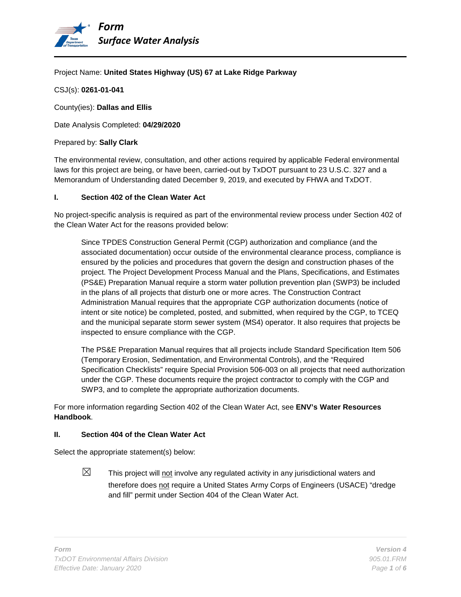

### Project Name: **United States Highway (US) 67 at Lake Ridge Parkway**

CSJ(s): **0261-01-041**

County(ies): **Dallas and Ellis**

Date Analysis Completed: **04/29/2020**

#### Prepared by: **Sally Clark**

The environmental review, consultation, and other actions required by applicable Federal environmental laws for this project are being, or have been, carried-out by TxDOT pursuant to 23 U.S.C. 327 and a Memorandum of Understanding dated December 9, 2019, and executed by FHWA and TxDOT.

#### **I. Section 402 of the Clean Water Act**

No project-specific analysis is required as part of the environmental review process under Section 402 of the Clean Water Act for the reasons provided below:

Since TPDES Construction General Permit (CGP) authorization and compliance (and the associated documentation) occur outside of the environmental clearance process, compliance is ensured by the policies and procedures that govern the design and construction phases of the project. The Project Development Process Manual and the Plans, Specifications, and Estimates (PS&E) Preparation Manual require a storm water pollution prevention plan (SWP3) be included in the plans of all projects that disturb one or more acres. The Construction Contract Administration Manual requires that the appropriate CGP authorization documents (notice of intent or site notice) be completed, posted, and submitted, when required by the CGP, to TCEQ and the municipal separate storm sewer system (MS4) operator. It also requires that projects be inspected to ensure compliance with the CGP.

The PS&E Preparation Manual requires that all projects include Standard Specification Item 506 (Temporary Erosion, Sedimentation, and Environmental Controls), and the "Required Specification Checklists" require Special Provision 506-003 on all projects that need authorization under the CGP. These documents require the project contractor to comply with the CGP and SWP3, and to complete the appropriate authorization documents.

For more information regarding Section 402 of the Clean Water Act, see **ENV's Water Resources Handbook**.

### **II. Section 404 of the Clean Water Act**

Select the appropriate statement(s) below:

 $\boxtimes$  This project will not involve any regulated activity in any jurisdictional waters and therefore does not require a United States Army Corps of Engineers (USACE) "dredge and fill" permit under Section 404 of the Clean Water Act.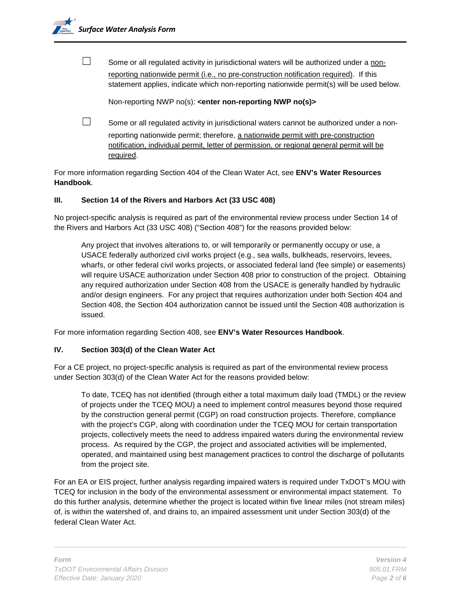

 $\Box$  Some or all regulated activity in jurisdictional waters will be authorized under a nonreporting nationwide permit (i.e., no pre-construction notification required). If this statement applies, indicate which non-reporting nationwide permit(s) will be used below.

Non-reporting NWP no(s): **<enter non-reporting NWP no(s)>**

 $\Box$  Some or all regulated activity in jurisdictional waters cannot be authorized under a nonreporting nationwide permit; therefore, a nationwide permit with pre-construction notification, individual permit, letter of permission, or regional general permit will be required.

For more information regarding Section 404 of the Clean Water Act, see **ENV's Water Resources Handbook**.

### **III. Section 14 of the Rivers and Harbors Act (33 USC 408)**

No project-specific analysis is required as part of the environmental review process under Section 14 of the Rivers and Harbors Act (33 USC 408) ("Section 408") for the reasons provided below:

Any project that involves alterations to, or will temporarily or permanently occupy or use, a USACE federally authorized civil works project (e.g., sea walls, bulkheads, reservoirs, levees, wharfs, or other federal civil works projects, or associated federal land (fee simple) or easements) will require USACE authorization under Section 408 prior to construction of the project. Obtaining any required authorization under Section 408 from the USACE is generally handled by hydraulic and/or design engineers. For any project that requires authorization under both Section 404 and Section 408, the Section 404 authorization cannot be issued until the Section 408 authorization is issued.

For more information regarding Section 408, see **ENV's Water Resources Handbook**.

# **IV. Section 303(d) of the Clean Water Act**

For a CE project, no project-specific analysis is required as part of the environmental review process under Section 303(d) of the Clean Water Act for the reasons provided below:

To date, TCEQ has not identified (through either a total maximum daily load (TMDL) or the review of projects under the TCEQ MOU) a need to implement control measures beyond those required by the construction general permit (CGP) on road construction projects. Therefore, compliance with the project's CGP, along with coordination under the TCEQ MOU for certain transportation projects, collectively meets the need to address impaired waters during the environmental review process. As required by the CGP, the project and associated activities will be implemented, operated, and maintained using best management practices to control the discharge of pollutants from the project site.

For an EA or EIS project, further analysis regarding impaired waters is required under TxDOT's MOU with TCEQ for inclusion in the body of the environmental assessment or environmental impact statement. To do this further analysis, determine whether the project is located within five linear miles (not stream miles) of, is within the watershed of, and drains to, an impaired assessment unit under Section 303(d) of the federal Clean Water Act.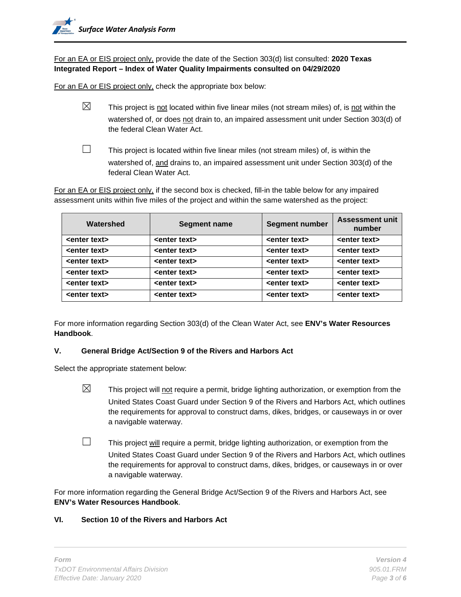For an EA or EIS project only, provide the date of the Section 303(d) list consulted: **2020 Texas Integrated Report – Index of Water Quality Impairments consulted on 04/29/2020**

For an EA or EIS project only, check the appropriate box below:

- $\boxtimes$  This project is not located within five linear miles (not stream miles) of, is not within the watershed of, or does not drain to, an impaired assessment unit under Section 303(d) of the federal Clean Water Act.
	-

 $\Box$  This project is located within five linear miles (not stream miles) of, is within the watershed of, and drains to, an impaired assessment unit under Section 303(d) of the federal Clean Water Act.

For an EA or EIS project only, if the second box is checked, fill-in the table below for any impaired assessment units within five miles of the project and within the same watershed as the project:

| Watershed               | Segment name            | <b>Segment number</b>   | <b>Assessment unit</b><br>number |
|-------------------------|-------------------------|-------------------------|----------------------------------|
| <enter text=""></enter> | <enter text=""></enter> | <enter text=""></enter> | <enter text=""></enter>          |
| <enter text=""></enter> | <enter text=""></enter> | <enter text=""></enter> | <enter text=""></enter>          |
| <enter text=""></enter> | <enter text=""></enter> | <enter text=""></enter> | <enter text=""></enter>          |
| <enter text=""></enter> | <enter text=""></enter> | <enter text=""></enter> | <enter text=""></enter>          |
| <enter text=""></enter> | <enter text=""></enter> | <enter text=""></enter> | <enter text=""></enter>          |
| <enter text=""></enter> | <enter text=""></enter> | <enter text=""></enter> | <enter text=""></enter>          |

For more information regarding Section 303(d) of the Clean Water Act, see **ENV's Water Resources Handbook**.

# **V. General Bridge Act/Section 9 of the Rivers and Harbors Act**

Select the appropriate statement below:

- $\boxtimes$  This project will not require a permit, bridge lighting authorization, or exemption from the United States Coast Guard under Section 9 of the Rivers and Harbors Act, which outlines the requirements for approval to construct dams, dikes, bridges, or causeways in or over a navigable waterway.
- $\Box$  This project will require a permit, bridge lighting authorization, or exemption from the United States Coast Guard under Section 9 of the Rivers and Harbors Act, which outlines the requirements for approval to construct dams, dikes, bridges, or causeways in or over a navigable waterway.

For more information regarding the General Bridge Act/Section 9 of the Rivers and Harbors Act, see **ENV's Water Resources Handbook**.

# **VI. Section 10 of the Rivers and Harbors Act**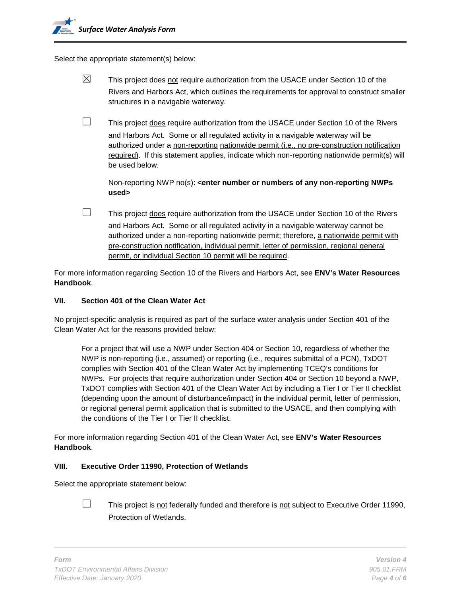Select the appropriate statement(s) below:

- $\boxtimes$  This project does not require authorization from the USACE under Section 10 of the Rivers and Harbors Act, which outlines the requirements for approval to construct smaller structures in a navigable waterway.
- $\Box$  This project does require authorization from the USACE under Section 10 of the Rivers and Harbors Act. Some or all regulated activity in a navigable waterway will be authorized under a non-reporting nationwide permit (i.e., no pre-construction notification required). If this statement applies, indicate which non-reporting nationwide permit(s) will be used below.

Non-reporting NWP no(s): **<enter number or numbers of any non-reporting NWPs used>**

□ This project does require authorization from the USACE under Section 10 of the Rivers and Harbors Act. Some or all regulated activity in a navigable waterway cannot be authorized under a non-reporting nationwide permit; therefore, a nationwide permit with pre-construction notification, individual permit, letter of permission, regional general permit, or individual Section 10 permit will be required.

For more information regarding Section 10 of the Rivers and Harbors Act, see **ENV's Water Resources Handbook**.

### **VII. Section 401 of the Clean Water Act**

No project-specific analysis is required as part of the surface water analysis under Section 401 of the Clean Water Act for the reasons provided below:

For a project that will use a NWP under Section 404 or Section 10, regardless of whether the NWP is non-reporting (i.e., assumed) or reporting (i.e., requires submittal of a PCN), TxDOT complies with Section 401 of the Clean Water Act by implementing TCEQ's conditions for NWPs. For projects that require authorization under Section 404 or Section 10 beyond a NWP, TxDOT complies with Section 401 of the Clean Water Act by including a Tier I or Tier II checklist (depending upon the amount of disturbance/impact) in the individual permit, letter of permission, or regional general permit application that is submitted to the USACE, and then complying with the conditions of the Tier I or Tier II checklist.

For more information regarding Section 401 of the Clean Water Act, see **ENV's Water Resources Handbook**.

### **VIII. Executive Order 11990, Protection of Wetlands**

Select the appropriate statement below:



 $\Box$  This project is not federally funded and therefore is not subject to Executive Order 11990, Protection of Wetlands.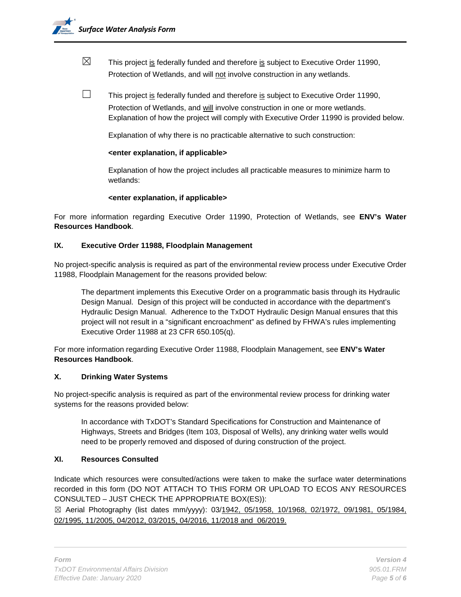- $\boxtimes$  This project is federally funded and therefore is subject to Executive Order 11990, Protection of Wetlands, and will not involve construction in any wetlands.
- $\Box$  This project is federally funded and therefore is subject to Executive Order 11990, Protection of Wetlands, and will involve construction in one or more wetlands. Explanation of how the project will comply with Executive Order 11990 is provided below.

Explanation of why there is no practicable alternative to such construction:

### **<enter explanation, if applicable>**

Explanation of how the project includes all practicable measures to minimize harm to wetlands:

## **<enter explanation, if applicable>**

For more information regarding Executive Order 11990, Protection of Wetlands, see **ENV's Water Resources Handbook**.

## **IX. Executive Order 11988, Floodplain Management**

No project-specific analysis is required as part of the environmental review process under Executive Order 11988, Floodplain Management for the reasons provided below:

The department implements this Executive Order on a programmatic basis through its Hydraulic Design Manual. Design of this project will be conducted in accordance with the department's Hydraulic Design Manual. Adherence to the TxDOT Hydraulic Design Manual ensures that this project will not result in a "significant encroachment" as defined by FHWA's rules implementing Executive Order 11988 at 23 CFR 650.105(q).

For more information regarding Executive Order 11988, Floodplain Management, see **ENV's Water Resources Handbook**.

### **X. Drinking Water Systems**

No project-specific analysis is required as part of the environmental review process for drinking water systems for the reasons provided below:

In accordance with TxDOT's Standard Specifications for Construction and Maintenance of Highways, Streets and Bridges (Item 103, Disposal of Wells), any drinking water wells would need to be properly removed and disposed of during construction of the project.

# **XI. Resources Consulted**

Indicate which resources were consulted/actions were taken to make the surface water determinations recorded in this form (DO NOT ATTACH TO THIS FORM OR UPLOAD TO ECOS ANY RESOURCES CONSULTED – JUST CHECK THE APPROPRIATE BOX(ES)):

☒ Aerial Photography (list dates mm/yyyy): 03/1942, 05/1958, 10/1968, 02/1972, 09/1981, 05/1984, 02/1995, 11/2005, 04/2012, 03/2015, 04/2016, 11/2018 and 06/2019.